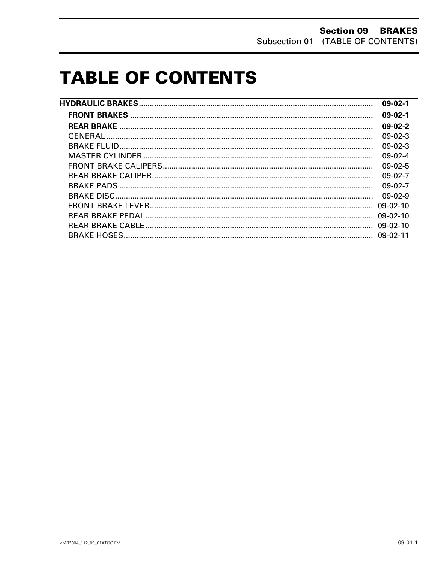# **TABLE OF CONTENTS**

| $09-02-1$  |
|------------|
| $09-02-1$  |
| $09-02-2$  |
| $09-02-3$  |
| $09-02-3$  |
| $09-02-4$  |
| $09-02-5$  |
| $09-02-7$  |
| $09-02-7$  |
| $09-02-9$  |
| $09-02-10$ |
|            |
|            |
|            |
|            |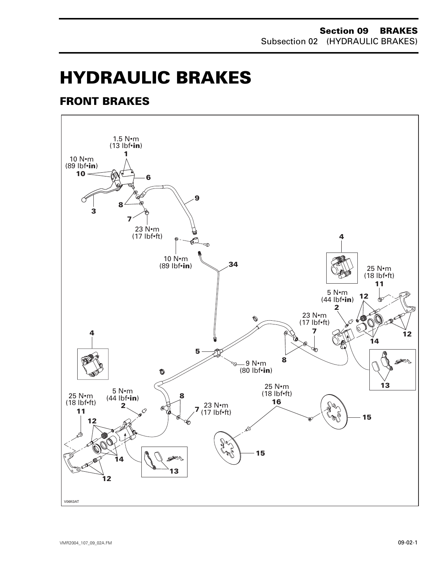# **HYDRAULIC BRAKES 0**

# <span id="page-1-0"></span>**FRONT BRAKES**

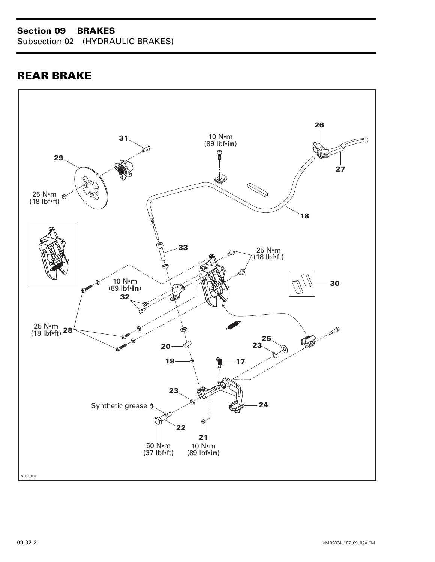# **Section 09 BRAKES**

Subsection 02 (HYDRAULIC BRAKES)

# <span id="page-2-0"></span>**REAR BRAKE**

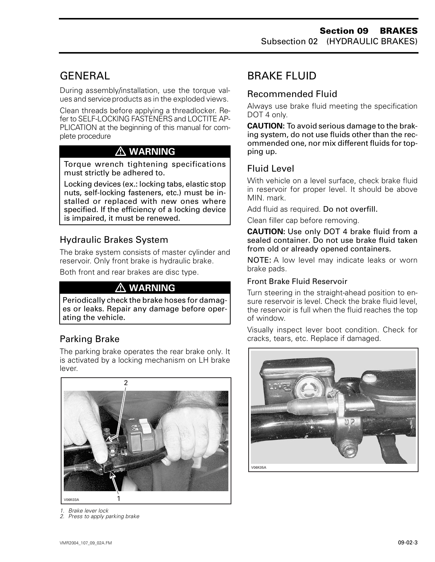# <span id="page-3-0"></span>**GENERAL**

During assembly/installation, use the torque values and service products as in the exploded views.

Clean threads before applying a threadlocker. Refer to SELF-LOCKING FASTENERS and LOCTITE AP-PLICATION at the beginning of this manual for complete procedure

# **WARNING**

Torque wrench tightening specifications must strictly be adhered to.

Locking devices (ex.: locking tabs, elastic stop nuts, self-locking fasteners, etc.) must be installed or replaced with new ones where specified. If the efficiency of a locking device is impaired, it must be renewed.

# Hydraulic Brakes System

The brake system consists of master cylinder and reservoir. Only front brake is hydraulic brake.

Both front and rear brakes are disc type.

# **WARNING**

Periodically check the brake hoses for damages or leaks. Repair any damage before operating the vehicle.

# Parking Brake

The parking brake operates the rear brake only. It is activated by a locking mechanism on LH brake lever.



*1. Brake lever lock 2. Press to apply parking brake*

# BRAKE FLUID

# Recommended Fluid

Always use brake fluid meeting the specification DOT 4 only.

**CAUTION:** To avoid serious damage to the braking system, do not use fluids other than the recommended one, nor mix different fluids for topping up.

# Fluid Level

With vehicle on a level surface, check brake fluid in reservoir for proper level. It should be above MIN. mark.

Add fluid as required. Do not overfill.

Clean filler cap before removing.

**CAUTION:** Use only DOT 4 brake fluid from a sealed container. Do not use brake fluid taken from old or already opened containers.

NOTE: A low level may indicate leaks or worn brake pads.

#### Front Brake Fluid Reservoir

Turn steering in the straight-ahead position to ensure reservoir is level. Check the brake fluid level, the reservoir is full when the fluid reaches the top of window.

Visually inspect lever boot condition. Check for cracks, tears, etc. Replace if damaged.

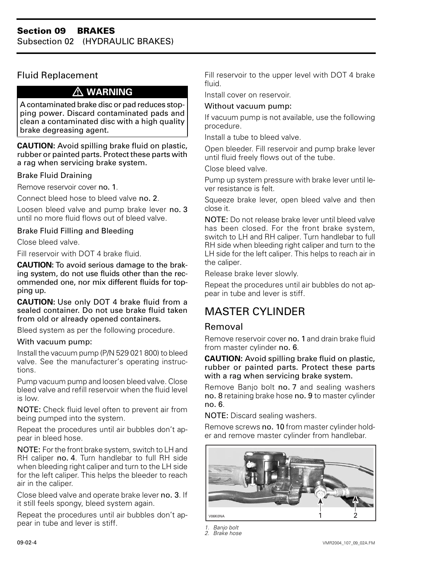# Fluid Replacement

#### **WARNING**

A contaminated brake disc or pad reduces stopping power. Discard contaminated pads and clean a contaminated disc with a high quality brake degreasing agent.

**CAUTION:** Avoid spilling brake fluid on plastic, rubber or painted parts. Protect these parts with a rag when servicing brake system.

#### Brake Fluid Draining

Remove reservoir cover no. 1.

Connect bleed hose to bleed valve no. 2.

Loosen bleed valve and pump brake lever no. 3 until no more fluid flows out of bleed valve.

#### Brake Fluid Filling and Bleeding

Close bleed valve.

Fill reservoir with DOT 4 brake fluid.

**CAUTION:** To avoid serious damage to the braking system, do not use fluids other than the recommended one, nor mix different fluids for topping up.

**CAUTION:** Use only DOT 4 brake fluid from a sealed container. Do not use brake fluid taken from old or already opened containers.

Bleed system as per the following procedure.

#### With vacuum pump:

Install the vacuum pump (P/N 529 021 800) to bleed valve. See the manufacturer's operating instructions.

Pump vacuum pump and loosen bleed valve. Close bleed valve and refill reservoir when the fluid level is low.

NOTE: Check fluid level often to prevent air from being pumped into the system.

Repeat the procedures until air bubbles don't appear in bleed hose.

NOTE: For the front brake system, switch to LH and RH caliper no. 4. Turn handlebar to full RH side when bleeding right caliper and turn to the LH side for the left caliper. This helps the bleeder to reach air in the caliper.

Close bleed valve and operate brake lever no. 3. If it still feels spongy, bleed system again.

Repeat the procedures until air bubbles don't appear in tube and lever is stiff.

Fill reservoir to the upper level with DOT 4 brake fluid.

Install cover on reservoir.

#### Without vacuum pump:

If vacuum pump is not available, use the following procedure.

Install a tube to bleed valve.

Open bleeder. Fill reservoir and pump brake lever until fluid freely flows out of the tube.

Close bleed valve.

Pump up system pressure with brake lever until lever resistance is felt.

Squeeze brake lever, open bleed valve and then close it.

NOTE: Do not release brake lever until bleed valve has been closed. For the front brake system, switch to LH and RH caliper. Turn handlebar to full RH side when bleeding right caliper and turn to the LH side for the left caliper. This helps to reach air in the caliper.

Release brake lever slowly.

Repeat the procedures until air bubbles do not appear in tube and lever is stiff.

# <span id="page-4-0"></span>MASTER CYLINDER

#### Removal

Remove reservoir cover no. 1 and drain brake fluid from master cylinder no. 6.

**CAUTION:** Avoid spilling brake fluid on plastic, rubber or painted parts. Protect these parts with a rag when servicing brake system.

Remove Banjo bolt no. 7 and sealing washers no. 8 retaining brake hose no. 9 to master cylinder no. 6.

NOTE: Discard sealing washers.

Remove screws no. 10 from master cylinder holder and remove master cylinder from handlebar.



*<sup>1.</sup> Banjo bolt 2. Brake hose*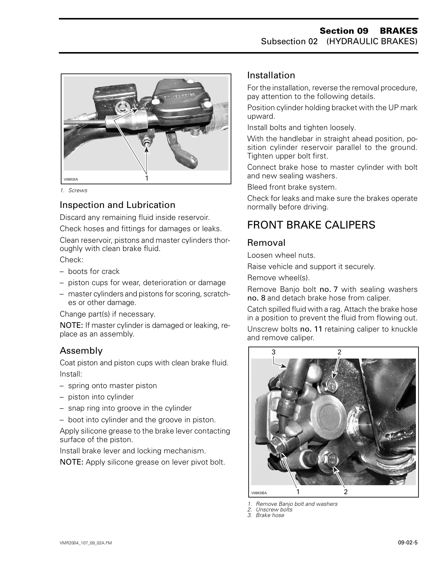

*1. Screws*

# Inspection and Lubrication

Discard any remaining fluid inside reservoir.

Check hoses and fittings for damages or leaks.

Clean reservoir, pistons and master cylinders thoroughly with clean brake fluid.

Check:

- boots for crack
- piston cups for wear, deterioration or damage
- master cylinders and pistons for scoring, scratches or other damage.

Change part(s) if necessary.

NOTE: If master cylinder is damaged or leaking, replace as an assembly.

# Assembly

Coat piston and piston cups with clean brake fluid. Install:

- spring onto master piston
- piston into cylinder
- snap ring into groove in the cylinder
- boot into cylinder and the groove in piston.

Apply silicone grease to the brake lever contacting surface of the piston.

Install brake lever and locking mechanism.

NOTE: Apply silicone grease on lever pivot bolt.

## Installation

For the installation, reverse the removal procedure, pay attention to the following details.

Position cylinder holding bracket with the UP mark upward.

Install bolts and tighten loosely.

With the handlebar in straight ahead position, position cylinder reservoir parallel to the ground. Tighten upper bolt first.

Connect brake hose to master cylinder with bolt and new sealing washers.

Bleed front brake system.

Check for leaks and make sure the brakes operate normally before driving.

# <span id="page-5-0"></span>FRONT BRAKE CALIPERS

## Removal

Loosen wheel nuts.

Raise vehicle and support it securely.

Remove wheel(s).

Remove Banjo bolt no. 7 with sealing washers no. 8 and detach brake hose from caliper.

Catch spilled fluid with a rag. Attach the brake hose in a position to prevent the fluid from flowing out.

Unscrew bolts no. 11 retaining caliper to knuckle and remove caliper.



*1. Remove Banjo bolt and washers*

*2. Unscrew bolts*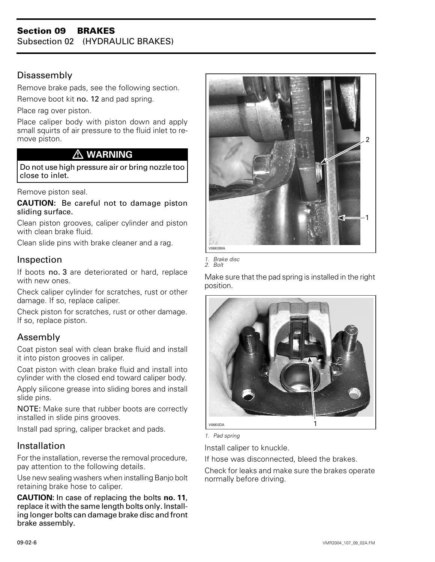#### **Section 09 BRAKES**  Subsection 02 (HYDRAULIC BRAKES)

## Disassembly

Remove brake pads, see the following section.

Remove boot kit no. 12 and pad spring.

Place rag over piston.

Place caliper body with piston down and apply small squirts of air pressure to the fluid inlet to remove piston.

## **WARNING**

Do not use high pressure air or bring nozzle too close to inlet.

Remove piston seal.

**CAUTION:** Be careful not to damage piston sliding surface.

Clean piston grooves, caliper cylinder and piston with clean brake fluid.

Clean slide pins with brake cleaner and a rag.

#### Inspection

If boots no. 3 are deteriorated or hard, replace with new ones.

Check caliper cylinder for scratches, rust or other damage. If so, replace caliper.

Check piston for scratches, rust or other damage. If so, replace piston.

## Assembly

Coat piston seal with clean brake fluid and install it into piston grooves in caliper.

Coat piston with clean brake fluid and install into cylinder with the closed end toward caliper body.

Apply silicone grease into sliding bores and install slide pins.

NOTE: Make sure that rubber boots are correctly installed in slide pins grooves.

Install pad spring, caliper bracket and pads.

## Installation

For the installation, reverse the removal procedure, pay attention to the following details.

Use new sealing washers when installing Banjo bolt retaining brake hose to caliper.

**CAUTION:** In case of replacing the bolts **no. 11**, replace it with the same length bolts only. Installing longer bolts can damage brake disc and front brake assembly.





Make sure that the pad spring is installed in the right position.



*1. Pad spring*

Install caliper to knuckle.

If hose was disconnected, bleed the brakes.

Check for leaks and make sure the brakes operate normally before driving.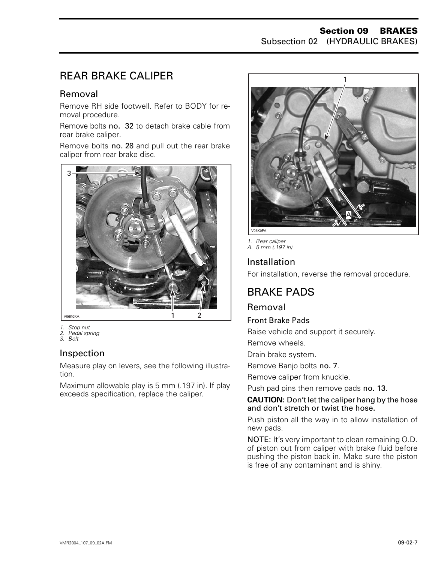# <span id="page-7-0"></span>REAR BRAKE CALIPER

## Removal

Remove RH side footwell. Refer to BODY for removal procedure.

Remove bolts no. 32 to detach brake cable from rear brake caliper.

Remove bolts no. 28 and pull out the rear brake caliper from rear brake disc.



- *1. Stop nut 2. Pedal spring*
- *3. Bolt*

## Inspection

Measure play on levers, see the following illustration.

Maximum allowable play is 5 mm (.197 in). If play exceeds specification, replace the caliper.



*1. Rear caliper A. 5 mm (.197 in)*

# Installation

For installation, reverse the removal procedure.

# BRAKE PADS

# Removal

#### Front Brake Pads

Raise vehicle and support it securely.

Remove wheels.

Drain brake system.

Remove Banjo bolts no. 7.

Remove caliper from knuckle.

Push pad pins then remove pads no. 13.

#### **CAUTION:** Don't let the caliper hang by the hose and don't stretch or twist the hose.

Push piston all the way in to allow installation of new pads.

NOTE: It's very important to clean remaining O.D. of piston out from caliper with brake fluid before pushing the piston back in. Make sure the piston is free of any contaminant and is shiny.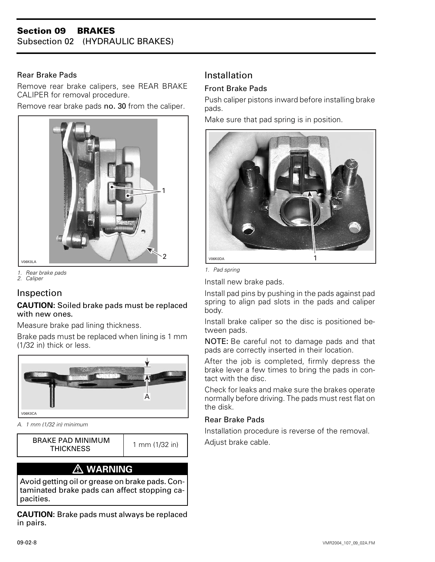#### Rear Brake Pads

Remove rear brake calipers, see REAR BRAKE CALIPER for removal procedure.

Remove rear brake pads no. 30 from the caliper.



*1. Rear brake pads 2. Caliper*

## Inspection

#### **CAUTION:** Soiled brake pads must be replaced with new ones.

Measure brake pad lining thickness.

Brake pads must be replaced when lining is 1 mm (1/32 in) thick or less.



*A. 1 mm (1/32 in) minimum*

BRAKE PAD MINIMUM | 1 mm (1/32 in) | Adjust brake cable.

 $1 \text{ mm } (1/32 \text{ in})$ 

# **WARNING**

Avoid getting oil or grease on brake pads. Contaminated brake pads can affect stopping capacities.

**CAUTION:** Brake pads must always be replaced in pairs.

# Installation

#### Front Brake Pads

Push caliper pistons inward before installing brake pads.

Make sure that pad spring is in position.



*1. Pad spring*

Install new brake pads.

Install pad pins by pushing in the pads against pad spring to align pad slots in the pads and caliper body.

Install brake caliper so the disc is positioned between pads.

NOTE: Be careful not to damage pads and that pads are correctly inserted in their location.

After the job is completed, firmly depress the brake lever a few times to bring the pads in contact with the disc.

Check for leaks and make sure the brakes operate normally before driving. The pads must rest flat on the disk.

#### Rear Brake Pads

Installation procedure is reverse of the removal.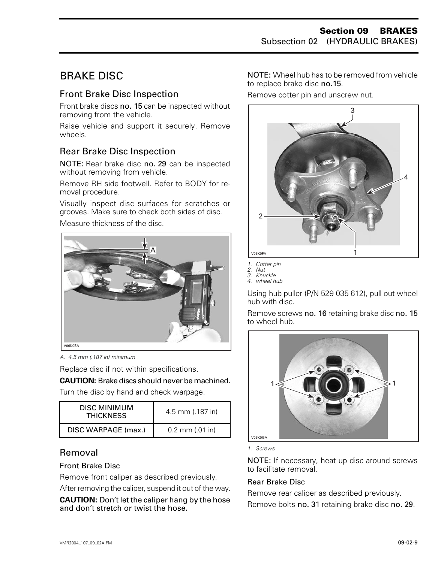# <span id="page-9-0"></span>BRAKE DISC

## Front Brake Disc Inspection

Front brake discs no. 15 can be inspected without removing from the vehicle.

Raise vehicle and support it securely. Remove wheels.

## Rear Brake Disc Inspection

NOTE: Rear brake disc no. 29 can be inspected without removing from vehicle.

Remove RH side footwell. Refer to BODY for removal procedure.

Visually inspect disc surfaces for scratches or grooves. Make sure to check both sides of disc.

Measure thickness of the disc.



*A. 4.5 mm (.187 in) minimum*

Replace disc if not within specifications.

**CAUTION:** Brake discs should never be machined.

Turn the disc by hand and check warpage.

| DISC MINIMUM<br><b>THICKNESS</b> | $4.5$ mm $(.187)$ in |
|----------------------------------|----------------------|
| DISC WARPAGE (max.)              | $0.2$ mm $(.01$ in)  |

# Removal

#### Front Brake Disc

Remove front caliper as described previously.

After removing the caliper, suspend it out of the way.

**CAUTION:** Don't let the caliper hang by the hose and don't stretch or twist the hose.

NOTE: Wheel hub has to be removed from vehicle to replace brake disc no.15.

Remove cotter pin and unscrew nut.



- *1. Cotter pin*
- *2. Nut 3. Knuckle*

Using hub puller (P/N 529 035 612), pull out wheel hub with disc.

Remove screws no. 16 retaining brake disc no. 15 to wheel hub.



*1. Screws*

NOTE: If necessary, heat up disc around screws to facilitate removal.

#### Rear Brake Disc

Remove rear caliper as described previously. Remove bolts no. 31 retaining brake disc no. 29.

*<sup>4.</sup> wheel hub*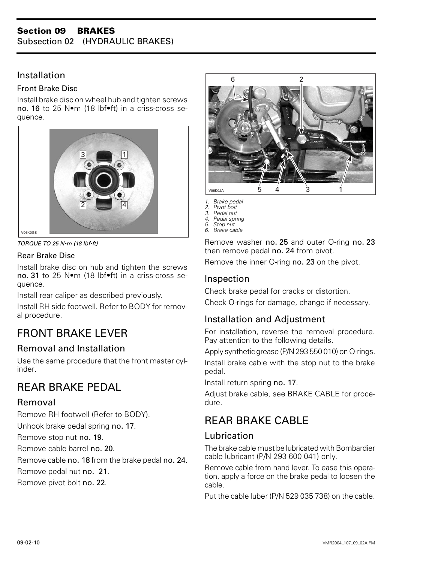#### **Section 09 BRAKES**  Subsection 02 (HYDRAULIC BRAKES)

## Installation

#### Front Brake Disc

Install brake disc on wheel hub and tighten screws no. 16 to 25 N•m (18 lbf•ft) in a criss-cross sequence.



*TORQUE TO 25 N•m (18 lbf•ft)*

#### Rear Brake Disc

Install brake disc on hub and tighten the screws no. 31 to 25 N•m (18 lbf•ft) in a criss-cross sequence.

Install rear caliper as described previously.

Install RH side footwell. Refer to BODY for removal procedure.

# <span id="page-10-0"></span>FRONT BRAKE LEVER

# Removal and Installation

Use the same procedure that the front master cylinder.

# REAR BRAKE PEDAL

## Removal

Remove RH footwell (Refer to BODY).

Unhook brake pedal spring no. 17.

Remove stop nut no. 19.

Remove cable barrel no. 20.

Remove cable no. 18 from the brake pedal no. 24.

Remove pedal nut no. 21.

Remove pivot bolt no. 22.



*1. Brake pedal*

- *2. Pivot bolt*
- *3. Pedal nut*
- *4. Pedal spring 5. Stop nut*
- *6. Brake cable*

Remove washer no. 25 and outer O-ring no. 23 then remove pedal no. 24 from pivot.

Remove the inner O-ring no. 23 on the pivot.

# Inspection

Check brake pedal for cracks or distortion.

Check O-rings for damage, change if necessary.

# Installation and Adjustment

For installation, reverse the removal procedure. Pay attention to the following details.

Apply synthetic grease (P/N 293 550 010) on O-rings.

Install brake cable with the stop nut to the brake pedal.

Install return spring no. 17.

Adjust brake cable, see BRAKE CABLE for procedure.

# REAR BRAKE CABLE

## Lubrication

The brake cable must be lubricated with Bombardier cable lubricant (P/N 293 600 041) only.

Remove cable from hand lever. To ease this operation, apply a force on the brake pedal to loosen the cable.

Put the cable luber (P/N 529 035 738) on the cable.